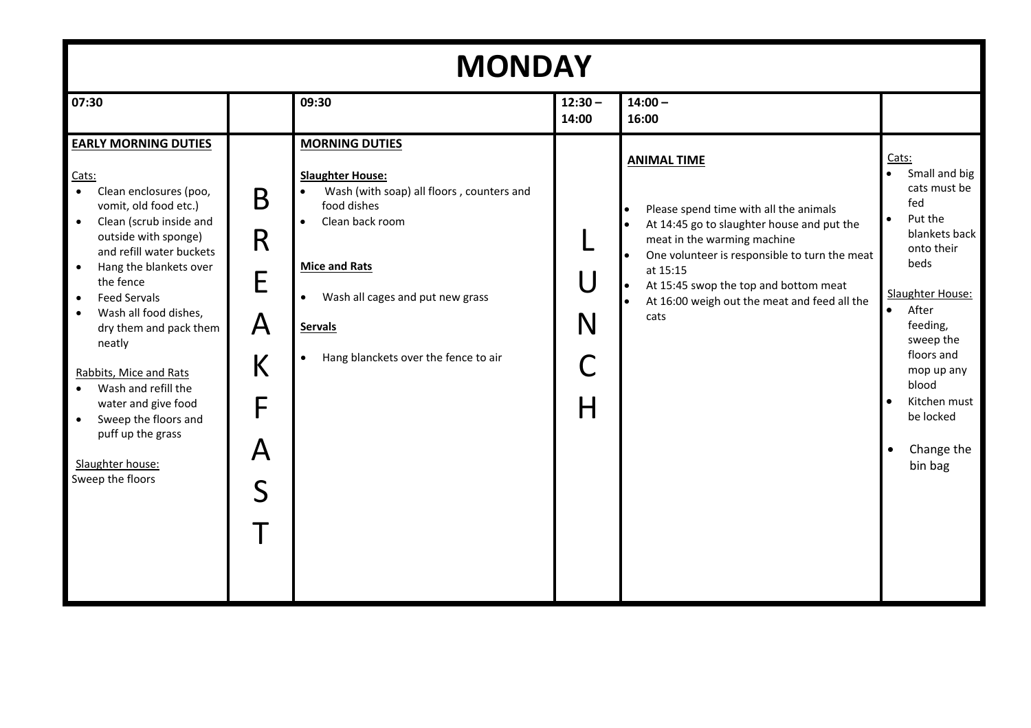| <b>MONDAY</b>                                                                                                                                                                                                                                                                                                                                                                                                                                                                                                                                             |                                                                                    |                                                                                                                                                                                                                                                                                                           |                                   |                                                                                                                                                                                                                                                                                                         |                                                                                                                                                                                                                                                                                                      |
|-----------------------------------------------------------------------------------------------------------------------------------------------------------------------------------------------------------------------------------------------------------------------------------------------------------------------------------------------------------------------------------------------------------------------------------------------------------------------------------------------------------------------------------------------------------|------------------------------------------------------------------------------------|-----------------------------------------------------------------------------------------------------------------------------------------------------------------------------------------------------------------------------------------------------------------------------------------------------------|-----------------------------------|---------------------------------------------------------------------------------------------------------------------------------------------------------------------------------------------------------------------------------------------------------------------------------------------------------|------------------------------------------------------------------------------------------------------------------------------------------------------------------------------------------------------------------------------------------------------------------------------------------------------|
| 07:30                                                                                                                                                                                                                                                                                                                                                                                                                                                                                                                                                     |                                                                                    | 09:30                                                                                                                                                                                                                                                                                                     | $12:30 -$<br>14:00                | $14:00 -$<br>16:00                                                                                                                                                                                                                                                                                      |                                                                                                                                                                                                                                                                                                      |
| <b>EARLY MORNING DUTIES</b><br>Cats:<br>$\bullet$<br>Clean enclosures (poo,<br>vomit, old food etc.)<br>Clean (scrub inside and<br>$\bullet$<br>outside with sponge)<br>and refill water buckets<br>Hang the blankets over<br>$\bullet$<br>the fence<br><b>Feed Servals</b><br>$\bullet$<br>Wash all food dishes,<br>$\bullet$<br>dry them and pack them<br>neatly<br>Rabbits, Mice and Rats<br>Wash and refill the<br>$\bullet$<br>water and give food<br>Sweep the floors and<br>$\bullet$<br>puff up the grass<br>Slaughter house:<br>Sweep the floors | B<br>R<br>E<br>$\mathsf{A}$<br>K<br>F<br>$\boldsymbol{\mathsf{A}}$<br>$\mathsf{S}$ | <b>MORNING DUTIES</b><br><b>Slaughter House:</b><br>Wash (with soap) all floors, counters and<br>$\bullet$<br>food dishes<br>Clean back room<br>$\bullet$<br><b>Mice and Rats</b><br>Wash all cages and put new grass<br>$\bullet$<br><b>Servals</b><br>Hang blanckets over the fence to air<br>$\bullet$ | $\overline{\mathsf{U}}$<br>N<br>H | <b>ANIMAL TIME</b><br>Please spend time with all the animals<br>At 14:45 go to slaughter house and put the<br>meat in the warming machine<br>One volunteer is responsible to turn the meat<br>at 15:15<br>At 15:45 swop the top and bottom meat<br>At 16:00 weigh out the meat and feed all the<br>cats | Cats:<br>Small and big<br>$\bullet$<br>cats must be<br>fed<br>Put the<br>$\bullet$<br>blankets back<br>onto their<br>beds<br>Slaughter House:<br>After<br>$\bullet$<br>feeding,<br>sweep the<br>floors and<br>mop up any<br>blood<br>Kitchen must<br>be locked<br>Change the<br>$\bullet$<br>bin bag |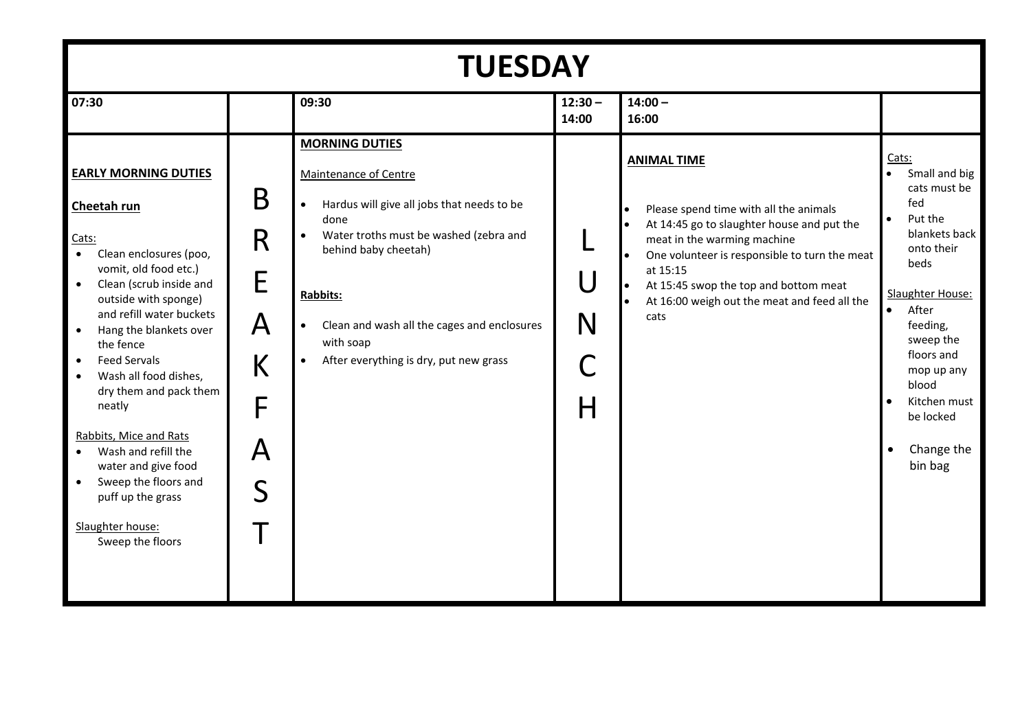| <b>TUESDAY</b>                                                                                                                                                                                                                                                                                                                                                                                                                                                                                                                                 |                                      |                                                                                                                                                                                                                                                                                                                                 |                    |                                                                                                                                                                                                                                                                                                         |                                                                                                                                                                                                                                                                                         |
|------------------------------------------------------------------------------------------------------------------------------------------------------------------------------------------------------------------------------------------------------------------------------------------------------------------------------------------------------------------------------------------------------------------------------------------------------------------------------------------------------------------------------------------------|--------------------------------------|---------------------------------------------------------------------------------------------------------------------------------------------------------------------------------------------------------------------------------------------------------------------------------------------------------------------------------|--------------------|---------------------------------------------------------------------------------------------------------------------------------------------------------------------------------------------------------------------------------------------------------------------------------------------------------|-----------------------------------------------------------------------------------------------------------------------------------------------------------------------------------------------------------------------------------------------------------------------------------------|
| 07:30                                                                                                                                                                                                                                                                                                                                                                                                                                                                                                                                          |                                      | 09:30                                                                                                                                                                                                                                                                                                                           | $12:30 -$<br>14:00 | $14:00 -$<br>16:00                                                                                                                                                                                                                                                                                      |                                                                                                                                                                                                                                                                                         |
| <b>EARLY MORNING DUTIES</b><br>Cheetah run<br>Cats:<br>$\bullet$<br>Clean enclosures (poo,<br>vomit, old food etc.)<br>Clean (scrub inside and<br>$\bullet$<br>outside with sponge)<br>and refill water buckets<br>Hang the blankets over<br>$\bullet$<br>the fence<br><b>Feed Servals</b><br>Wash all food dishes,<br>dry them and pack them<br>neatly<br>Rabbits, Mice and Rats<br>Wash and refill the<br>$\bullet$<br>water and give food<br>Sweep the floors and<br>$\bullet$<br>puff up the grass<br>Slaughter house:<br>Sweep the floors | B<br>R<br>E<br>A<br>К<br>F<br>Α<br>S | <b>MORNING DUTIES</b><br>Maintenance of Centre<br>Hardus will give all jobs that needs to be<br>$\bullet$<br>done<br>Water troths must be washed (zebra and<br>behind baby cheetah)<br>Rabbits:<br>Clean and wash all the cages and enclosures<br>$\bullet$<br>with soap<br>After everything is dry, put new grass<br>$\bullet$ | U<br>N<br>H        | <b>ANIMAL TIME</b><br>Please spend time with all the animals<br>At 14:45 go to slaughter house and put the<br>meat in the warming machine<br>One volunteer is responsible to turn the meat<br>at 15:15<br>At 15:45 swop the top and bottom meat<br>At 16:00 weigh out the meat and feed all the<br>cats | Cats:<br>Small and big<br>$\bullet$<br>cats must be<br>fed<br>Put the<br>$\bullet$<br>blankets back<br>onto their<br>beds<br>Slaughter House:<br>$\bullet$<br>After<br>feeding,<br>sweep the<br>floors and<br>mop up any<br>blood<br>Kitchen must<br>be locked<br>Change the<br>bin bag |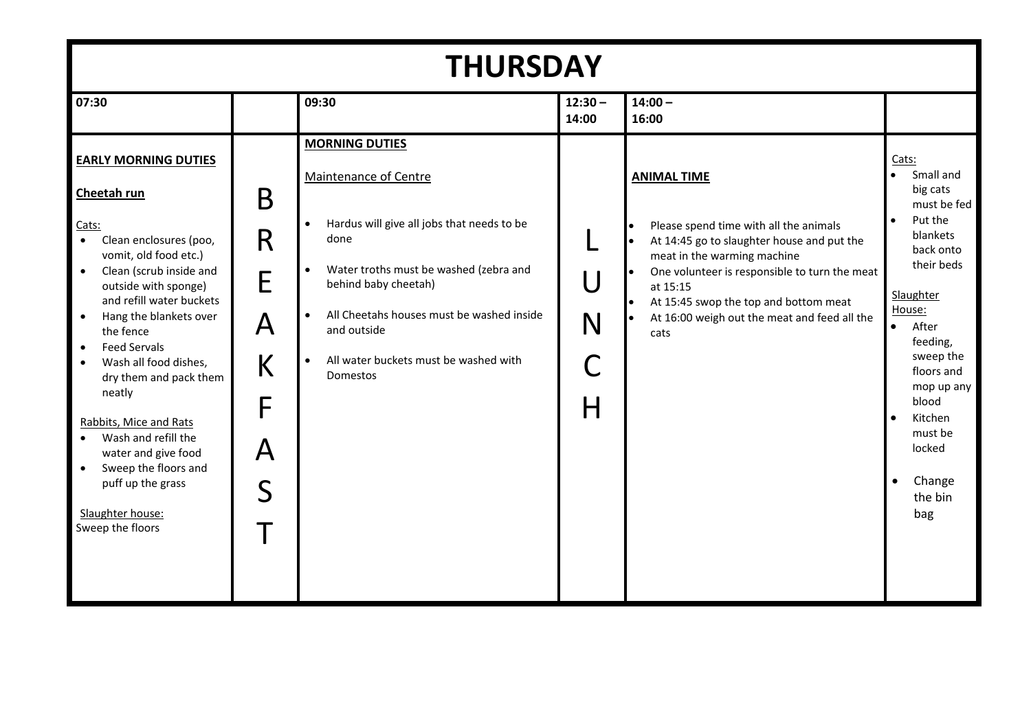| <b>THURSDAY</b>                                                                                                                                                                                                                                                                                                                                                                                                                                                                                                                                                          |                                      |                                                                                                                                                                                                                                                                                                                                             |                    |                                                                                                                                                                                                                                                                                                                      |                                                                                                                                                                                                                                                                                                               |
|--------------------------------------------------------------------------------------------------------------------------------------------------------------------------------------------------------------------------------------------------------------------------------------------------------------------------------------------------------------------------------------------------------------------------------------------------------------------------------------------------------------------------------------------------------------------------|--------------------------------------|---------------------------------------------------------------------------------------------------------------------------------------------------------------------------------------------------------------------------------------------------------------------------------------------------------------------------------------------|--------------------|----------------------------------------------------------------------------------------------------------------------------------------------------------------------------------------------------------------------------------------------------------------------------------------------------------------------|---------------------------------------------------------------------------------------------------------------------------------------------------------------------------------------------------------------------------------------------------------------------------------------------------------------|
| 07:30                                                                                                                                                                                                                                                                                                                                                                                                                                                                                                                                                                    |                                      | 09:30                                                                                                                                                                                                                                                                                                                                       | $12:30 -$<br>14:00 | $14:00 -$<br>16:00                                                                                                                                                                                                                                                                                                   |                                                                                                                                                                                                                                                                                                               |
| <b>EARLY MORNING DUTIES</b><br>Cheetah run<br>Cats:<br>$\bullet$<br>Clean enclosures (poo,<br>vomit, old food etc.)<br>Clean (scrub inside and<br>$\bullet$<br>outside with sponge)<br>and refill water buckets<br>Hang the blankets over<br>$\bullet$<br>the fence<br><b>Feed Servals</b><br>$\bullet$<br>Wash all food dishes,<br>$\bullet$<br>dry them and pack them<br>neatly<br>Rabbits, Mice and Rats<br>Wash and refill the<br>$\bullet$<br>water and give food<br>Sweep the floors and<br>$\bullet$<br>puff up the grass<br>Slaughter house:<br>Sweep the floors | B<br>R<br>E<br>A<br>K<br>F<br>A<br>S | <b>MORNING DUTIES</b><br>Maintenance of Centre<br>Hardus will give all jobs that needs to be<br>$\bullet$<br>done<br>Water troths must be washed (zebra and<br>$\bullet$<br>behind baby cheetah)<br>All Cheetahs houses must be washed inside<br>$\bullet$<br>and outside<br>All water buckets must be washed with<br>$\bullet$<br>Domestos | U<br>N<br>Н        | <b>ANIMAL TIME</b><br>Please spend time with all the animals<br>At 14:45 go to slaughter house and put the<br>meat in the warming machine<br>One volunteer is responsible to turn the meat<br>at 15:15<br>At 15:45 swop the top and bottom meat<br>$\bullet$<br>At 16:00 weigh out the meat and feed all the<br>cats | Cats:<br>Small and<br>big cats<br>must be fed<br>Put the<br>$\bullet$<br>blankets<br>back onto<br>their beds<br>Slaughter<br>House:<br>After<br>$\bullet$<br>feeding,<br>sweep the<br>floors and<br>mop up any<br>blood<br>Kitchen<br>$\bullet$<br>must be<br>locked<br>Change<br>$\bullet$<br>the bin<br>bag |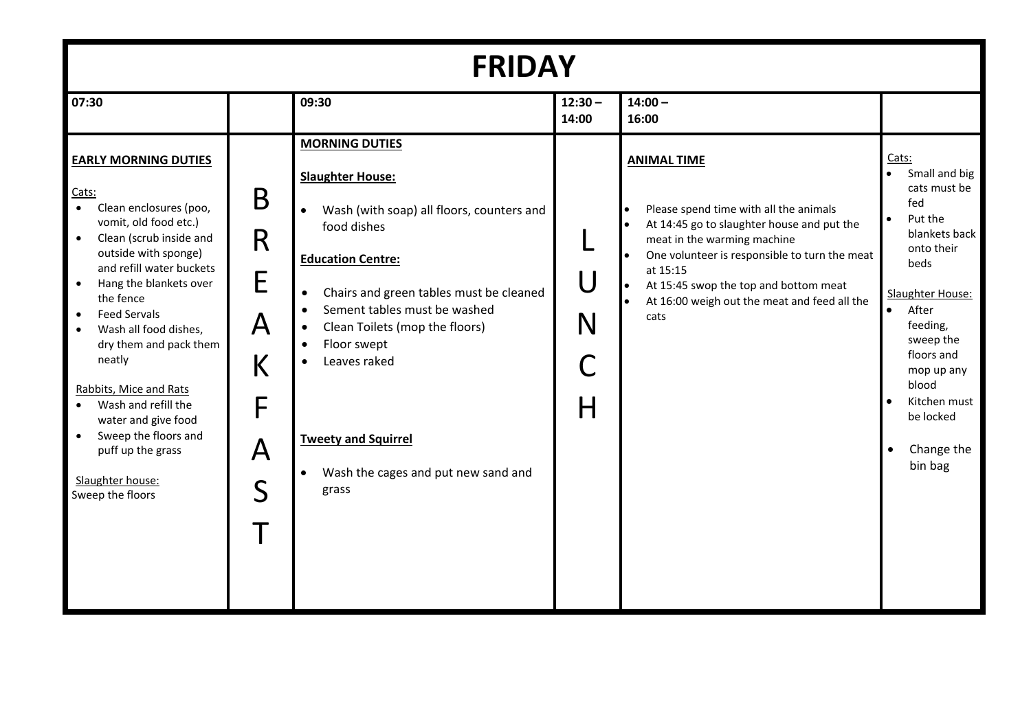| <b>FRIDAY</b>                                                                                                                                                                                                                                                                                                                                                                                                                                                                                                                                             |                                                                 |                                                                                                                                                                                                                                                                                                                                                                                                                                                               |                    |                                                                                                                                                                                                                                                                                                         |                                                                                                                                                                                                                                                                                         |
|-----------------------------------------------------------------------------------------------------------------------------------------------------------------------------------------------------------------------------------------------------------------------------------------------------------------------------------------------------------------------------------------------------------------------------------------------------------------------------------------------------------------------------------------------------------|-----------------------------------------------------------------|---------------------------------------------------------------------------------------------------------------------------------------------------------------------------------------------------------------------------------------------------------------------------------------------------------------------------------------------------------------------------------------------------------------------------------------------------------------|--------------------|---------------------------------------------------------------------------------------------------------------------------------------------------------------------------------------------------------------------------------------------------------------------------------------------------------|-----------------------------------------------------------------------------------------------------------------------------------------------------------------------------------------------------------------------------------------------------------------------------------------|
| 07:30                                                                                                                                                                                                                                                                                                                                                                                                                                                                                                                                                     |                                                                 | 09:30                                                                                                                                                                                                                                                                                                                                                                                                                                                         | $12:30 -$<br>14:00 | $14:00 -$<br>16:00                                                                                                                                                                                                                                                                                      |                                                                                                                                                                                                                                                                                         |
| <b>EARLY MORNING DUTIES</b><br>Cats:<br>$\bullet$<br>Clean enclosures (poo,<br>vomit, old food etc.)<br>$\bullet$<br>Clean (scrub inside and<br>outside with sponge)<br>and refill water buckets<br>Hang the blankets over<br>$\bullet$<br>the fence<br><b>Feed Servals</b><br>$\bullet$<br>Wash all food dishes,<br>$\bullet$<br>dry them and pack them<br>neatly<br>Rabbits, Mice and Rats<br>Wash and refill the<br>$\bullet$<br>water and give food<br>Sweep the floors and<br>$\bullet$<br>puff up the grass<br>Slaughter house:<br>Sweep the floors | B<br>R<br>E<br>A<br>К<br>F<br>$\bm{\mathsf{A}}$<br>$\mathsf{S}$ | <b>MORNING DUTIES</b><br><b>Slaughter House:</b><br>Wash (with soap) all floors, counters and<br>$\bullet$<br>food dishes<br><b>Education Centre:</b><br>Chairs and green tables must be cleaned<br>$\bullet$<br>Sement tables must be washed<br>$\bullet$<br>Clean Toilets (mop the floors)<br>$\bullet$<br>Floor swept<br>$\bullet$<br>Leaves raked<br>$\bullet$<br><b>Tweety and Squirrel</b><br>Wash the cages and put new sand and<br>$\bullet$<br>grass | U<br>N<br>Н        | <b>ANIMAL TIME</b><br>Please spend time with all the animals<br>At 14:45 go to slaughter house and put the<br>meat in the warming machine<br>One volunteer is responsible to turn the meat<br>at 15:15<br>At 15:45 swop the top and bottom meat<br>At 16:00 weigh out the meat and feed all the<br>cats | Cats:<br>Small and big<br>$\bullet$<br>cats must be<br>fed<br>Put the<br>blankets back<br>onto their<br>beds<br>Slaughter House:<br>After<br>$\bullet$<br>feeding,<br>sweep the<br>floors and<br>mop up any<br>blood<br>Kitchen must<br>be locked<br>Change the<br>$\bullet$<br>bin bag |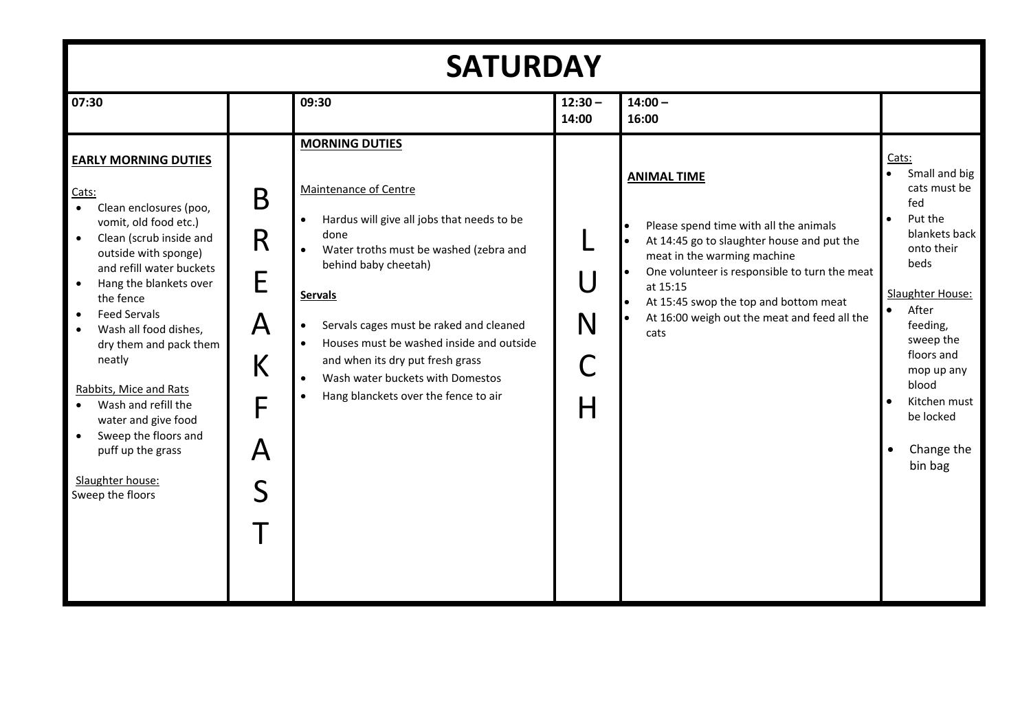| <b>SATURDAY</b>                                                                                                                                                                                                                                                                                                                                                                                                                                                                                                                              |                                                                         |                                                                                                                                                                                                                                                                                                                                                                                                                                               |                    |                                                                                                                                                                                                                                                                                                         |                                                                                                                                                                                                                                                                                                      |
|----------------------------------------------------------------------------------------------------------------------------------------------------------------------------------------------------------------------------------------------------------------------------------------------------------------------------------------------------------------------------------------------------------------------------------------------------------------------------------------------------------------------------------------------|-------------------------------------------------------------------------|-----------------------------------------------------------------------------------------------------------------------------------------------------------------------------------------------------------------------------------------------------------------------------------------------------------------------------------------------------------------------------------------------------------------------------------------------|--------------------|---------------------------------------------------------------------------------------------------------------------------------------------------------------------------------------------------------------------------------------------------------------------------------------------------------|------------------------------------------------------------------------------------------------------------------------------------------------------------------------------------------------------------------------------------------------------------------------------------------------------|
| 07:30                                                                                                                                                                                                                                                                                                                                                                                                                                                                                                                                        |                                                                         | 09:30                                                                                                                                                                                                                                                                                                                                                                                                                                         | $12:30 -$<br>14:00 | $14:00 -$<br>16:00                                                                                                                                                                                                                                                                                      |                                                                                                                                                                                                                                                                                                      |
| <b>EARLY MORNING DUTIES</b><br>Cats:<br>$\bullet$<br>Clean enclosures (poo,<br>vomit, old food etc.)<br>Clean (scrub inside and<br>$\bullet$<br>outside with sponge)<br>and refill water buckets<br>Hang the blankets over<br>$\bullet$<br>the fence<br><b>Feed Servals</b><br>$\bullet$<br>Wash all food dishes,<br>dry them and pack them<br>neatly<br>Rabbits, Mice and Rats<br>Wash and refill the<br>$\bullet$<br>water and give food<br>Sweep the floors and<br>$\bullet$<br>puff up the grass<br>Slaughter house:<br>Sweep the floors | B<br>R<br>E<br>A<br>K<br>F<br>$\boldsymbol{\mathsf{A}}$<br>$\mathsf{S}$ | <b>MORNING DUTIES</b><br><b>Maintenance of Centre</b><br>Hardus will give all jobs that needs to be<br>done<br>Water troths must be washed (zebra and<br>behind baby cheetah)<br><b>Servals</b><br>Servals cages must be raked and cleaned<br>$\bullet$<br>Houses must be washed inside and outside<br>$\bullet$<br>and when its dry put fresh grass<br>Wash water buckets with Domestos<br>Hang blanckets over the fence to air<br>$\bullet$ | U<br>N<br>H        | <b>ANIMAL TIME</b><br>Please spend time with all the animals<br>At 14:45 go to slaughter house and put the<br>meat in the warming machine<br>One volunteer is responsible to turn the meat<br>at 15:15<br>At 15:45 swop the top and bottom meat<br>At 16:00 weigh out the meat and feed all the<br>cats | Cats:<br>$\bullet$<br>Small and big<br>cats must be<br>fed<br>$\bullet$<br>Put the<br>blankets back<br>onto their<br>beds<br>Slaughter House:<br>$\bullet$<br>After<br>feeding,<br>sweep the<br>floors and<br>mop up any<br>blood<br>Kitchen must<br>be locked<br>Change the<br>$\bullet$<br>bin bag |